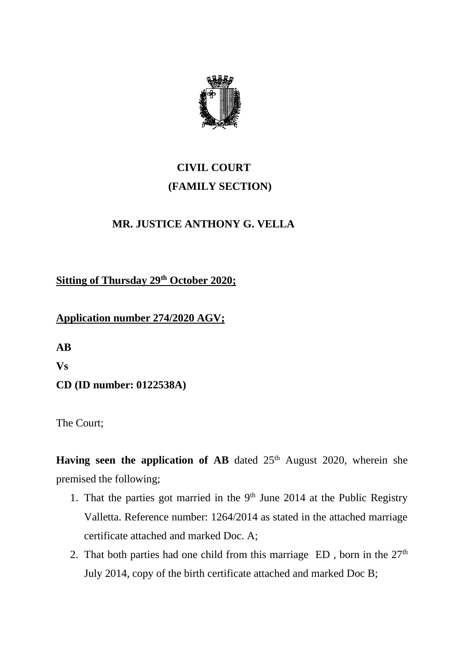

## **CIVIL COURT (FAMILY SECTION)**

## **MR. JUSTICE ANTHONY G. VELLA**

**Sitting of Thursday 29th October 2020;**

## **Application number 274/2020 AGV;**

**AB Vs**

**CD (ID number: 0122538A)**

The Court;

**Having seen the application of AB** dated  $25<sup>th</sup>$  August 2020, wherein she premised the following;

- 1. That the parties got married in the  $9<sup>th</sup>$  June 2014 at the Public Registry Valletta. Reference number: 1264/2014 as stated in the attached marriage certificate attached and marked Doc. A;
- 2. That both parties had one child from this marriage  $ED$ , born in the  $27<sup>th</sup>$ July 2014, copy of the birth certificate attached and marked Doc B;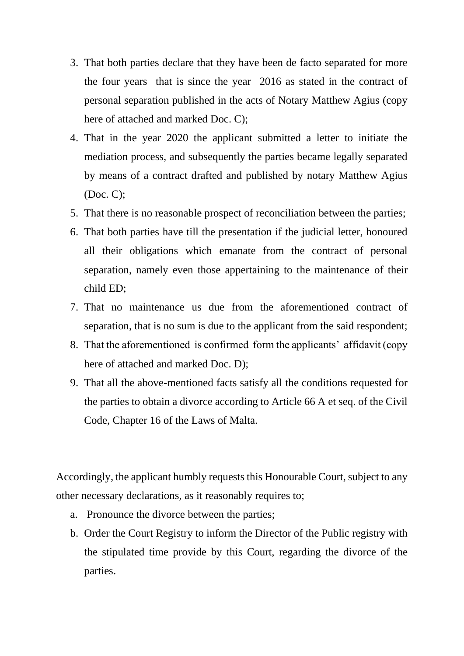- 3. That both parties declare that they have been de facto separated for more the four years that is since the year 2016 as stated in the contract of personal separation published in the acts of Notary Matthew Agius (copy here of attached and marked Doc. C);
- 4. That in the year 2020 the applicant submitted a letter to initiate the mediation process, and subsequently the parties became legally separated by means of a contract drafted and published by notary Matthew Agius (Doc. C);
- 5. That there is no reasonable prospect of reconciliation between the parties;
- 6. That both parties have till the presentation if the judicial letter, honoured all their obligations which emanate from the contract of personal separation, namely even those appertaining to the maintenance of their child ED;
- 7. That no maintenance us due from the aforementioned contract of separation, that is no sum is due to the applicant from the said respondent;
- 8. That the aforementioned is confirmed form the applicants' affidavit (copy here of attached and marked Doc. D);
- 9. That all the above-mentioned facts satisfy all the conditions requested for the parties to obtain a divorce according to Article 66 A et seq. of the Civil Code, Chapter 16 of the Laws of Malta.

Accordingly, the applicant humbly requests this Honourable Court, subject to any other necessary declarations, as it reasonably requires to;

- a. Pronounce the divorce between the parties;
- b. Order the Court Registry to inform the Director of the Public registry with the stipulated time provide by this Court, regarding the divorce of the parties.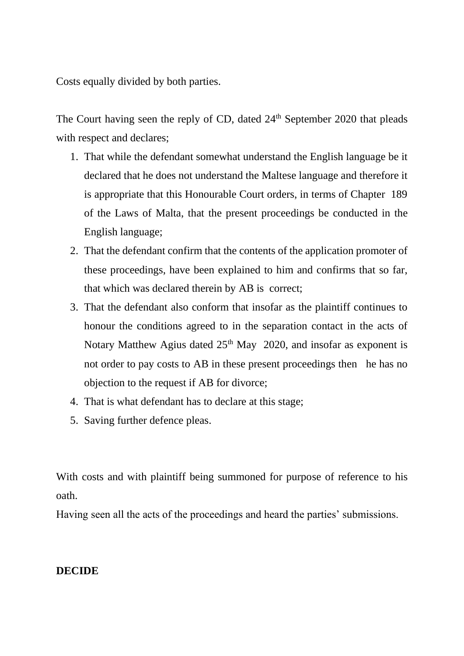Costs equally divided by both parties.

The Court having seen the reply of CD, dated 24<sup>th</sup> September 2020 that pleads with respect and declares;

- 1. That while the defendant somewhat understand the English language be it declared that he does not understand the Maltese language and therefore it is appropriate that this Honourable Court orders, in terms of Chapter 189 of the Laws of Malta, that the present proceedings be conducted in the English language;
- 2. That the defendant confirm that the contents of the application promoter of these proceedings, have been explained to him and confirms that so far, that which was declared therein by AB is correct;
- 3. That the defendant also conform that insofar as the plaintiff continues to honour the conditions agreed to in the separation contact in the acts of Notary Matthew Agius dated  $25<sup>th</sup>$  May 2020, and insofar as exponent is not order to pay costs to AB in these present proceedings then he has no objection to the request if AB for divorce;
- 4. That is what defendant has to declare at this stage;
- 5. Saving further defence pleas.

With costs and with plaintiff being summoned for purpose of reference to his oath.

Having seen all the acts of the proceedings and heard the parties' submissions.

## **DECIDE**